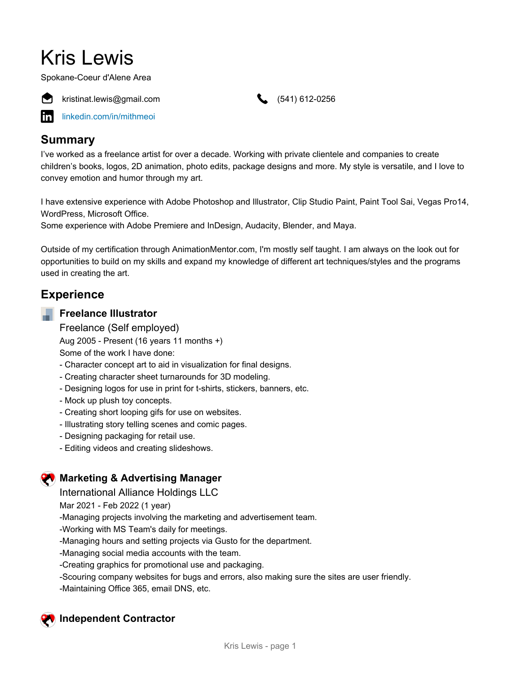# Kris Lewis

Spokane-Coeur d'Alene Area



kristinat.lewis@gmail.com (541) 612-0256

[linkedin.com/in/mithmeoi](https://www.linkedin.com/in/mithmeoi)

## **Summary**

I've worked as a freelance artist for over a decade. Working with private clientele and companies to create children's books, logos, 2D animation, photo edits, package designs and more. My style is versatile, and I love to convey emotion and humor through my art.

I have extensive experience with Adobe Photoshop and Illustrator, Clip Studio Paint, Paint Tool Sai, Vegas Pro14, WordPress, Microsoft Office.

Some experience with Adobe Premiere and InDesign, Audacity, Blender, and Maya.

Outside of my certification through AnimationMentor.com, I'm mostly self taught. I am always on the look out for opportunities to build on my skills and expand my knowledge of different art techniques/styles and the programs used in creating the art.

# **Experience**

#### **Freelance Illustrator**

Freelance (Self employed) Aug 2005 - Present (16 years 11 months +) Some of the work I have done:

- Character concept art to aid in visualization for final designs.
- Creating character sheet turnarounds for 3D modeling.
- Designing logos for use in print for t-shirts, stickers, banners, etc.
- Mock up plush toy concepts.
- Creating short looping gifs for use on websites.
- Illustrating story telling scenes and comic pages.
- Designing packaging for retail use.
- Editing videos and creating slideshows.

## **Marketing & Advertising Manager**

International Alliance Holdings LLC

Mar 2021 - Feb 2022 (1 year)

-Managing projects involving the marketing and advertisement team.

-Working with MS Team's daily for meetings.

-Managing hours and setting projects via Gusto for the department.

-Managing social media accounts with the team.

-Creating graphics for promotional use and packaging.

-Scouring company websites for bugs and errors, also making sure the sites are user friendly. -Maintaining Office 365, email DNS, etc.

# **Independent Contractor**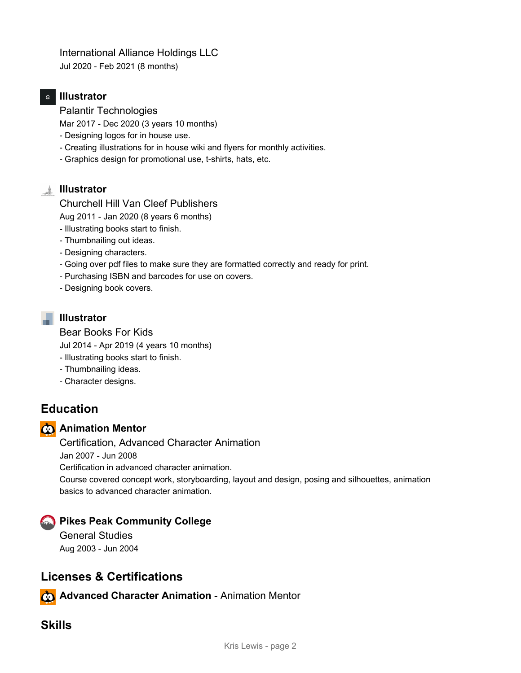## International Alliance Holdings LLC

Jul 2020 - Feb 2021 (8 months)

#### **Illustrator**

Palantir Technologies

Mar 2017 - Dec 2020 (3 years 10 months)

- Designing logos for in house use.
- Creating illustrations for in house wiki and flyers for monthly activities.
- Graphics design for promotional use, t-shirts, hats, etc.

## **Illustrator**

Churchell Hill Van Cleef Publishers

Aug 2011 - Jan 2020 (8 years 6 months)

- Illustrating books start to finish.
- Thumbnailing out ideas.
- Designing characters.
- Going over pdf files to make sure they are formatted correctly and ready for print.
- Purchasing ISBN and barcodes for use on covers.
- Designing book covers.

## **Illustrator**

Bear Books For Kids

Jul 2014 - Apr 2019 (4 years 10 months)

- Illustrating books start to finish.
- Thumbnailing ideas.
- Character designs.

# **Education**

## **Animation Mentor**

Certification, Advanced Character Animation

Jan 2007 - Jun 2008

Certification in advanced character animation.

Course covered concept work, storyboarding, layout and design, posing and silhouettes, animation basics to advanced character animation.

## **Pikes Peak Community College**

General Studies Aug 2003 - Jun 2004

# **Licenses & Certifications**

**Advanced Character Animation** - Animation Mentor

# **Skills**